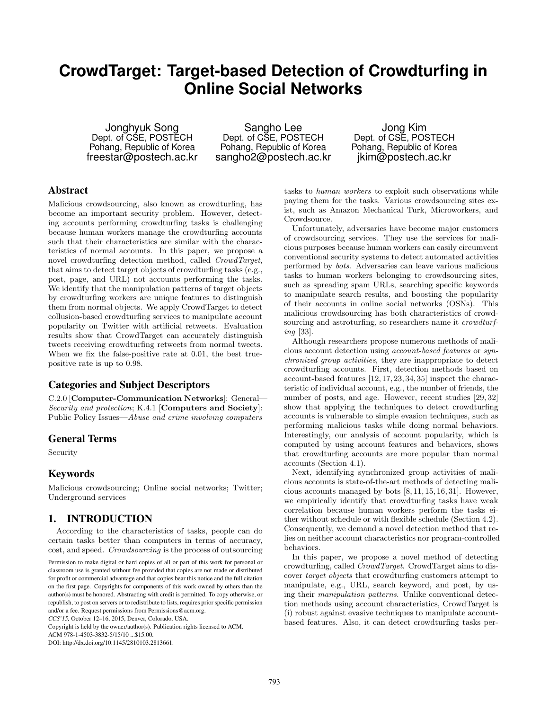# **CrowdTarget: Target-based Detection of Crowdturfing in Online Social Networks**

Jonghyuk Song Dept. of CSE, POSTECH Pohang, Republic of Korea freestar@postech.ac.kr

Sangho Lee Dept. of CSE, POSTECH Pohang, Republic of Korea sangho2@postech.ac.kr

Jong Kim Dept. of CSE, POSTECH Pohang, Republic of Korea jkim@postech.ac.kr

# Abstract

Malicious crowdsourcing, also known as crowdturfing, has become an important security problem. However, detecting accounts performing crowdturfing tasks is challenging because human workers manage the crowdturfing accounts such that their characteristics are similar with the characteristics of normal accounts. In this paper, we propose a novel crowdturfing detection method, called CrowdTarget, that aims to detect target objects of crowdturfing tasks (e.g., post, page, and URL) not accounts performing the tasks. We identify that the manipulation patterns of target objects by crowdturfing workers are unique features to distinguish them from normal objects. We apply CrowdTarget to detect collusion-based crowdturfing services to manipulate account popularity on Twitter with artificial retweets. Evaluation results show that CrowdTarget can accurately distinguish tweets receiving crowdturfing retweets from normal tweets. When we fix the false-positive rate at 0.01, the best truepositive rate is up to 0.98.

# Categories and Subject Descriptors

C.2.0 [Computer-Communication Networks]: General— Security and protection; K.4.1 [Computers and Society]: Public Policy Issues—Abuse and crime involving computers

## General Terms

Security

## Keywords

Malicious crowdsourcing; Online social networks; Twitter; Underground services

# 1. INTRODUCTION

According to the characteristics of tasks, people can do certain tasks better than computers in terms of accuracy, cost, and speed. Crowdsourcing is the process of outsourcing

ACM 978-1-4503-3832-5/15/10 ...\$15.00.

DOI: http://dx.doi.org/10.1145/2810103.2813661.

tasks to human workers to exploit such observations while paying them for the tasks. Various crowdsourcing sites exist, such as Amazon Mechanical Turk, Microworkers, and Crowdsource.

Unfortunately, adversaries have become major customers of crowdsourcing services. They use the services for malicious purposes because human workers can easily circumvent conventional security systems to detect automated activities performed by bots. Adversaries can leave various malicious tasks to human workers belonging to crowdsourcing sites, such as spreading spam URLs, searching specific keywords to manipulate search results, and boosting the popularity of their accounts in online social networks (OSNs). This malicious crowdsourcing has both characteristics of crowdsourcing and astroturfing, so researchers name it *crowdturf*ing [33].

Although researchers propose numerous methods of malicious account detection using account-based features or synchronized group activities, they are inappropriate to detect crowdturfing accounts. First, detection methods based on account-based features [12, 17, 23, 34, 35] inspect the characteristic of individual account, e.g., the number of friends, the number of posts, and age. However, recent studies [29, 32] show that applying the techniques to detect crowdturfing accounts is vulnerable to simple evasion techniques, such as performing malicious tasks while doing normal behaviors. Interestingly, our analysis of account popularity, which is computed by using account features and behaviors, shows that crowdturfing accounts are more popular than normal accounts (Section 4.1).

Next, identifying synchronized group activities of malicious accounts is state-of-the-art methods of detecting malicious accounts managed by bots [8, 11, 15, 16, 31]. However, we empirically identify that crowdturfing tasks have weak correlation because human workers perform the tasks either without schedule or with flexible schedule (Section 4.2). Consequently, we demand a novel detection method that relies on neither account characteristics nor program-controlled behaviors.

In this paper, we propose a novel method of detecting crowdturfing, called CrowdTarget. CrowdTarget aims to discover target objects that crowdturfing customers attempt to manipulate, e.g., URL, search keyword, and post, by using their manipulation patterns. Unlike conventional detection methods using account characteristics, CrowdTarget is (i) robust against evasive techniques to manipulate accountbased features. Also, it can detect crowdturfing tasks per-

Permission to make digital or hard copies of all or part of this work for personal or classroom use is granted without fee provided that copies are not made or distributed for profit or commercial advantage and that copies bear this notice and the full citation on the first page. Copyrights for components of this work owned by others than the author(s) must be honored. Abstracting with credit is permitted. To copy otherwise, or republish, to post on servers or to redistribute to lists, requires prior specific permission and/or a fee. Request permissions from Permissions@acm.org. *CCS'15,* October 12–16, 2015, Denver, Colorado, USA.

Copyright is held by the owner/author(s). Publication rights licensed to ACM.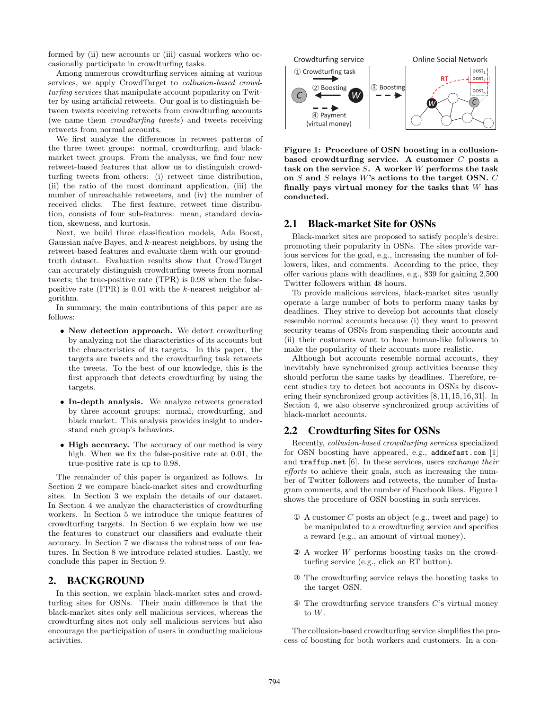formed by (ii) new accounts or (iii) casual workers who occasionally participate in crowdturfing tasks.

Among numerous crowdturfing services aiming at various services, we apply CrowdTarget to collusion-based crowdturfing services that manipulate account popularity on Twitter by using artificial retweets. Our goal is to distinguish between tweets receiving retweets from crowdturfing accounts (we name them crowdturfing tweets) and tweets receiving retweets from normal accounts.

We first analyze the differences in retweet patterns of the three tweet groups: normal, crowdturfing, and blackmarket tweet groups. From the analysis, we find four new retweet-based features that allow us to distinguish crowdturfing tweets from others: (i) retweet time distribution, (ii) the ratio of the most dominant application, (iii) the number of unreachable retweeters, and (iv) the number of received clicks. The first feature, retweet time distribution, consists of four sub-features: mean, standard deviation, skewness, and kurtosis.

Next, we build three classification models, Ada Boost, Gaussian naïve Bayes, and  $k$ -nearest neighbors, by using the retweet-based features and evaluate them with our groundtruth dataset. Evaluation results show that CrowdTarget can accurately distinguish crowdturfing tweets from normal tweets; the true-positive rate (TPR) is 0.98 when the falsepositive rate (FPR) is 0.01 with the k-nearest neighbor algorithm.

In summary, the main contributions of this paper are as follows:

- New detection approach. We detect crowdturfing by analyzing not the characteristics of its accounts but the characteristics of its targets. In this paper, the targets are tweets and the crowdturfing task retweets the tweets. To the best of our knowledge, this is the first approach that detects crowdturfing by using the targets.
- In-depth analysis. We analyze retweets generated by three account groups: normal, crowdturfing, and black market. This analysis provides insight to understand each group's behaviors.
- High accuracy. The accuracy of our method is very high. When we fix the false-positive rate at 0.01, the true-positive rate is up to 0.98.

The remainder of this paper is organized as follows. In Section 2 we compare black-market sites and crowdturfing sites. In Section 3 we explain the details of our dataset. In Section 4 we analyze the characteristics of crowdturfing workers. In Section 5 we introduce the unique features of crowdturfing targets. In Section 6 we explain how we use the features to construct our classifiers and evaluate their accuracy. In Section 7 we discuss the robustness of our features. In Section 8 we introduce related studies. Lastly, we conclude this paper in Section 9.

## 2. BACKGROUND

In this section, we explain black-market sites and crowdturfing sites for OSNs. Their main difference is that the black-market sites only sell malicious services, whereas the crowdturfing sites not only sell malicious services but also encourage the participation of users in conducting malicious activities.



Figure 1: Procedure of OSN boosting in a collusionbased crowdturfing service. A customer C posts a task on the service  $S$ . A worker  $W$  performs the task on  $S$  and  $S$  relays  $W$ 's actions to the target OSN.  $C$ finally pays virtual money for the tasks that  $W$  has conducted.

#### 2.1 Black-market Site for OSNs

Black-market sites are proposed to satisfy people's desire: promoting their popularity in OSNs. The sites provide various services for the goal, e.g., increasing the number of followers, likes, and comments. According to the price, they offer various plans with deadlines, e.g., \$39 for gaining 2,500 Twitter followers within 48 hours.

To provide malicious services, black-market sites usually operate a large number of bots to perform many tasks by deadlines. They strive to develop bot accounts that closely resemble normal accounts because (i) they want to prevent security teams of OSNs from suspending their accounts and (ii) their customers want to have human-like followers to make the popularity of their accounts more realistic.

Although bot accounts resemble normal accounts, they inevitably have synchronized group activities because they should perform the same tasks by deadlines. Therefore, recent studies try to detect bot accounts in OSNs by discovering their synchronized group activities [8, 11, 15, 16, 31]. In Section 4, we also observe synchronized group activities of black-market accounts.

## 2.2 Crowdturfing Sites for OSNs

Recently, collusion-based crowdturfing services specialized for OSN boosting have appeared, e.g., addmefast.com [1] and traffup.net [6]. In these services, users exchange their efforts to achieve their goals, such as increasing the number of Twitter followers and retweets, the number of Instagram comments, and the number of Facebook likes. Figure 1 shows the procedure of OSN boosting in such services.

- $\Phi$  A customer C posts an object (e.g., tweet and page) to be manipulated to a crowdturfing service and specifies a reward (e.g., an amount of virtual money).
- $\Phi$  A worker W performs boosting tasks on the crowdturfing service (e.g., click an RT button).
- ③ The crowdturfing service relays the boosting tasks to the target OSN.
- $\Phi$  The crowdturfing service transfers C's virtual money to W.

The collusion-based crowdturfing service simplifies the process of boosting for both workers and customers. In a con-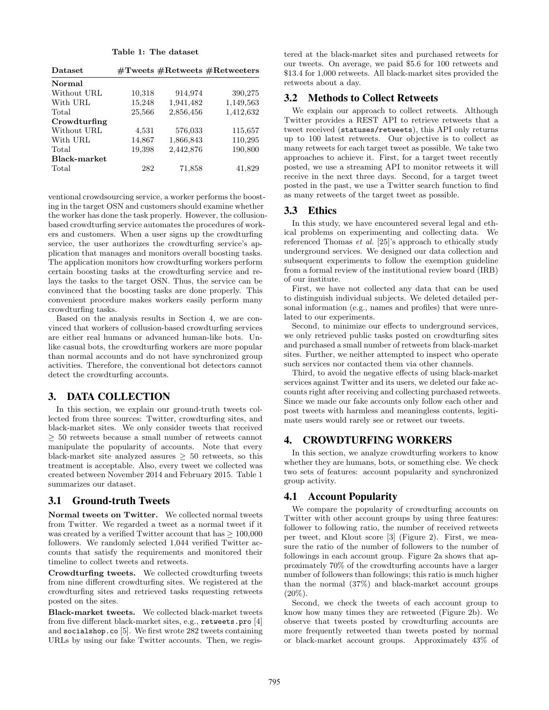|  |  |  | Table 1: The dataset |
|--|--|--|----------------------|
|--|--|--|----------------------|

| Dataset      |        |           | $\#\text{T}$ weets $\#\text{Returns} \#\text{Returns}$ |
|--------------|--------|-----------|--------------------------------------------------------|
| Normal       |        |           |                                                        |
| Without URL  | 10,318 | 914,974   | 390,275                                                |
| With URL     | 15,248 | 1,941,482 | 1,149,563                                              |
| Total        | 25,566 | 2,856,456 | 1,412,632                                              |
| Crowdturfing |        |           |                                                        |
| Without URL  | 4,531  | 576,033   | 115,657                                                |
| With URL     | 14,867 | 1,866,843 | 110,295                                                |
| Total        | 19,398 | 2,442,876 | 190,800                                                |
| Black-market |        |           |                                                        |
| Total        | 282    | 71,858    | 41,829                                                 |

ventional crowdsourcing service, a worker performs the boosting in the target OSN and customers should examine whether the worker has done the task properly. However, the collusionbased crowdturfing service automates the procedures of workers and customers. When a user signs up the crowdturfing service, the user authorizes the crowdturfing service's application that manages and monitors overall boosting tasks. The application monitors how crowdturfing workers perform certain boosting tasks at the crowdturfing service and relays the tasks to the target OSN. Thus, the service can be convinced that the boosting tasks are done properly. This convenient procedure makes workers easily perform many crowdturfing tasks.

Based on the analysis results in Section 4, we are convinced that workers of collusion-based crowdturfing services are either real humans or advanced human-like bots. Unlike casual bots, the crowdturfing workers are more popular than normal accounts and do not have synchronized group activities. Therefore, the conventional bot detectors cannot detect the crowdturfing accounts.

## 3. DATA COLLECTION

In this section, we explain our ground-truth tweets collected from three sources: Twitter, crowdturfing sites, and black-market sites. We only consider tweets that received ≥ 50 retweets because a small number of retweets cannot manipulate the popularity of accounts. Note that every black-market site analyzed assures  $\geq 50$  retweets, so this treatment is acceptable. Also, every tweet we collected was created between November 2014 and February 2015. Table 1 summarizes our dataset.

## 3.1 Ground-truth Tweets

Normal tweets on Twitter. We collected normal tweets from Twitter. We regarded a tweet as a normal tweet if it was created by a verified Twitter account that has  $\geq 100,000$ followers. We randomly selected 1,044 verified Twitter accounts that satisfy the requirements and monitored their timeline to collect tweets and retweets.

Crowdturfing tweets. We collected crowdturfing tweets from nine different crowdturfing sites. We registered at the crowdturfing sites and retrieved tasks requesting retweets posted on the sites.

Black-market tweets. We collected black-market tweets from five different black-market sites, e.g., retweets.pro [4] and socialshop.co [5]. We first wrote 282 tweets containing URLs by using our fake Twitter accounts. Then, we registered at the black-market sites and purchased retweets for our tweets. On average, we paid \$5.6 for 100 retweets and \$13.4 for 1,000 retweets. All black-market sites provided the retweets about a day.

## 3.2 Methods to Collect Retweets

We explain our approach to collect retweets. Although Twitter provides a REST API to retrieve retweets that a tweet received (statuses/retweets), this API only returns up to 100 latest retweets. Our objective is to collect as many retweets for each target tweet as possible. We take two approaches to achieve it. First, for a target tweet recently posted, we use a streaming API to monitor retweets it will receive in the next three days. Second, for a target tweet posted in the past, we use a Twitter search function to find as many retweets of the target tweet as possible.

#### 3.3 Ethics

In this study, we have encountered several legal and ethical problems on experimenting and collecting data. We referenced Thomas et al. [25]'s approach to ethically study underground services. We designed our data collection and subsequent experiments to follow the exemption guideline from a formal review of the institutional review board (IRB) of our institute.

First, we have not collected any data that can be used to distinguish individual subjects. We deleted detailed personal information (e.g., names and profiles) that were unrelated to our experiments.

Second, to minimize our effects to underground services, we only retrieved public tasks posted on crowdturfing sites and purchased a small number of retweets from black-market sites. Further, we neither attempted to inspect who operate such services nor contacted them via other channels.

Third, to avoid the negative effects of using black-market services against Twitter and its users, we deleted our fake accounts right after receiving and collecting purchased retweets. Since we made our fake accounts only follow each other and post tweets with harmless and meaningless contents, legitimate users would rarely see or retweet our tweets.

#### 4. CROWDTURFING WORKERS

In this section, we analyze crowdturfing workers to know whether they are humans, bots, or something else. We check two sets of features: account popularity and synchronized group activity.

#### 4.1 Account Popularity

We compare the popularity of crowdturfing accounts on Twitter with other account groups by using three features: follower to following ratio, the number of received retweets per tweet, and Klout score [3] (Figure 2). First, we measure the ratio of the number of followers to the number of followings in each account group. Figure 2a shows that approximately 70% of the crowdturfing accounts have a larger number of followers than followings; this ratio is much higher than the normal (37%) and black-market account groups  $(20\%)$ .

Second, we check the tweets of each account group to know how many times they are retweeted (Figure 2b). We observe that tweets posted by crowdturfing accounts are more frequently retweeted than tweets posted by normal or black-market account groups. Approximately 43% of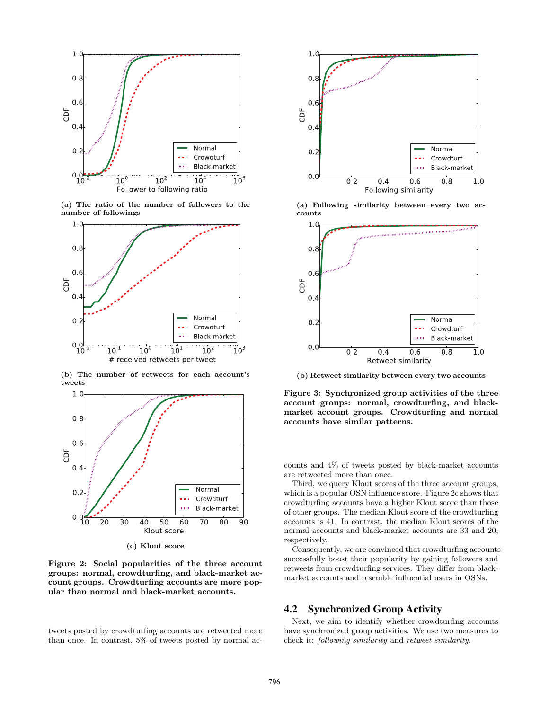

(a) The ratio of the number of followers to the number of followings



(b) The number of retweets for each account's tweets



Figure 2: Social popularities of the three account groups: normal, crowdturfing, and black-market account groups. Crowdturfing accounts are more popular than normal and black-market accounts.

tweets posted by crowdturfing accounts are retweeted more than once. In contrast, 5% of tweets posted by normal ac-



(a) Following similarity between every two accounts



(b) Retweet similarity between every two accounts

Figure 3: Synchronized group activities of the three account groups: normal, crowdturfing, and blackmarket account groups. Crowdturfing and normal accounts have similar patterns.

counts and 4% of tweets posted by black-market accounts are retweeted more than once.

Third, we query Klout scores of the three account groups, which is a popular OSN influence score. Figure 2c shows that crowdturfing accounts have a higher Klout score than those of other groups. The median Klout score of the crowdturfing accounts is 41. In contrast, the median Klout scores of the normal accounts and black-market accounts are 33 and 20, respectively.

Consequently, we are convinced that crowdturfing accounts successfully boost their popularity by gaining followers and retweets from crowdturfing services. They differ from blackmarket accounts and resemble influential users in OSNs.

## 4.2 Synchronized Group Activity

Next, we aim to identify whether crowdturfing accounts have synchronized group activities. We use two measures to check it: following similarity and retweet similarity.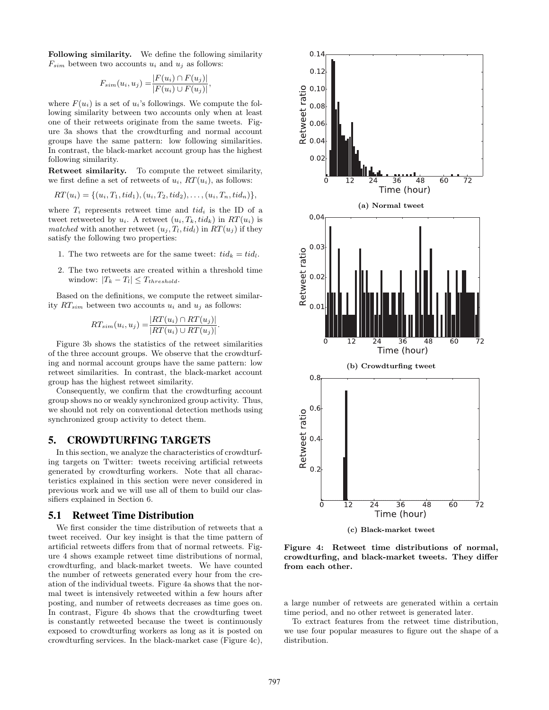Following similarity. We define the following similarity  $F_{sim}$  between two accounts  $u_i$  and  $u_j$  as follows:

$$
F_{sim}(u_i, u_j) = \frac{|F(u_i) \cap F(u_j)|}{|F(u_i) \cup F(u_j)|},
$$

where  $F(u_i)$  is a set of  $u_i$ 's followings. We compute the following similarity between two accounts only when at least one of their retweets originate from the same tweets. Figure 3a shows that the crowdturfing and normal account groups have the same pattern: low following similarities. In contrast, the black-market account group has the highest following similarity.

Retweet similarity. To compute the retweet similarity, we first define a set of retweets of  $u_i$ ,  $RT(u_i)$ , as follows:

$$
RT(u_i) = \{(u_i, T_1, tid_1), (u_i, T_2, tid_2), \ldots, (u_i, T_n, tid_n)\},\
$$

where  $T_i$  represents retweet time and  $tid_i$  is the ID of a tweet retweeted by  $u_i$ . A retweet  $(u_i, T_k, tid_k)$  in  $RT(u_i)$  is matched with another retweet  $(u_i, T_l, tid_l)$  in  $RT(u_i)$  if they satisfy the following two properties:

- 1. The two retweets are for the same tweet:  $tid_k = tid_l$ .
- 2. The two retweets are created within a threshold time window:  $|T_k - T_l| \leq T_{threshold}$ .

Based on the definitions, we compute the retweet similarity  $RT_{sim}$  between two accounts  $u_i$  and  $u_j$  as follows:

$$
RT_{sim}(u_i, u_j) = \frac{|RT(u_i) \cap RT(u_j)|}{|RT(u_i) \cup RT(u_j)|}.
$$

Figure 3b shows the statistics of the retweet similarities of the three account groups. We observe that the crowdturfing and normal account groups have the same pattern: low retweet similarities. In contrast, the black-market account group has the highest retweet similarity.

Consequently, we confirm that the crowdturfing account group shows no or weakly synchronized group activity. Thus, we should not rely on conventional detection methods using synchronized group activity to detect them.

#### 5. CROWDTURFING TARGETS

In this section, we analyze the characteristics of crowdturfing targets on Twitter: tweets receiving artificial retweets generated by crowdturfing workers. Note that all characteristics explained in this section were never considered in previous work and we will use all of them to build our classifiers explained in Section 6.

#### 5.1 Retweet Time Distribution

We first consider the time distribution of retweets that a tweet received. Our key insight is that the time pattern of artificial retweets differs from that of normal retweets. Figure 4 shows example retweet time distributions of normal, crowdturfing, and black-market tweets. We have counted the number of retweets generated every hour from the creation of the individual tweets. Figure 4a shows that the normal tweet is intensively retweeted within a few hours after posting, and number of retweets decreases as time goes on. In contrast, Figure 4b shows that the crowdturfing tweet is constantly retweeted because the tweet is continuously exposed to crowdturfing workers as long as it is posted on crowdturfing services. In the black-market case (Figure 4c),



(c) Black-market tweet



a large number of retweets are generated within a certain time period, and no other retweet is generated later.

To extract features from the retweet time distribution, we use four popular measures to figure out the shape of a distribution.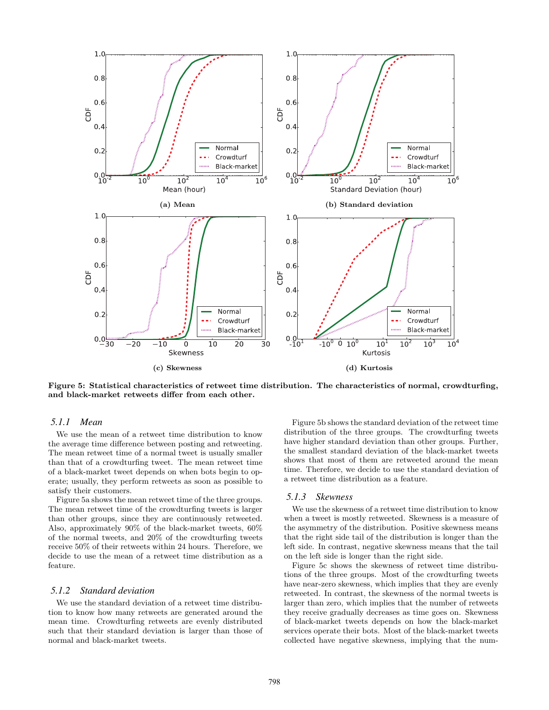

Figure 5: Statistical characteristics of retweet time distribution. The characteristics of normal, crowdturfing, and black-market retweets differ from each other.

#### *5.1.1 Mean*

We use the mean of a retweet time distribution to know the average time difference between posting and retweeting. The mean retweet time of a normal tweet is usually smaller than that of a crowdturfing tweet. The mean retweet time of a black-market tweet depends on when bots begin to operate; usually, they perform retweets as soon as possible to satisfy their customers.

Figure 5a shows the mean retweet time of the three groups. The mean retweet time of the crowdturfing tweets is larger than other groups, since they are continuously retweeted. Also, approximately 90% of the black-market tweets, 60% of the normal tweets, and 20% of the crowdturfing tweets receive 50% of their retweets within 24 hours. Therefore, we decide to use the mean of a retweet time distribution as a feature.

#### *5.1.2 Standard deviation*

We use the standard deviation of a retweet time distribution to know how many retweets are generated around the mean time. Crowdturfing retweets are evenly distributed such that their standard deviation is larger than those of normal and black-market tweets.

Figure 5b shows the standard deviation of the retweet time distribution of the three groups. The crowdturfing tweets have higher standard deviation than other groups. Further, the smallest standard deviation of the black-market tweets shows that most of them are retweeted around the mean time. Therefore, we decide to use the standard deviation of a retweet time distribution as a feature.

#### *5.1.3 Skewness*

We use the skewness of a retweet time distribution to know when a tweet is mostly retweeted. Skewness is a measure of the asymmetry of the distribution. Positive skewness means that the right side tail of the distribution is longer than the left side. In contrast, negative skewness means that the tail on the left side is longer than the right side.

Figure 5c shows the skewness of retweet time distributions of the three groups. Most of the crowdturfing tweets have near-zero skewness, which implies that they are evenly retweeted. In contrast, the skewness of the normal tweets is larger than zero, which implies that the number of retweets they receive gradually decreases as time goes on. Skewness of black-market tweets depends on how the black-market services operate their bots. Most of the black-market tweets collected have negative skewness, implying that the num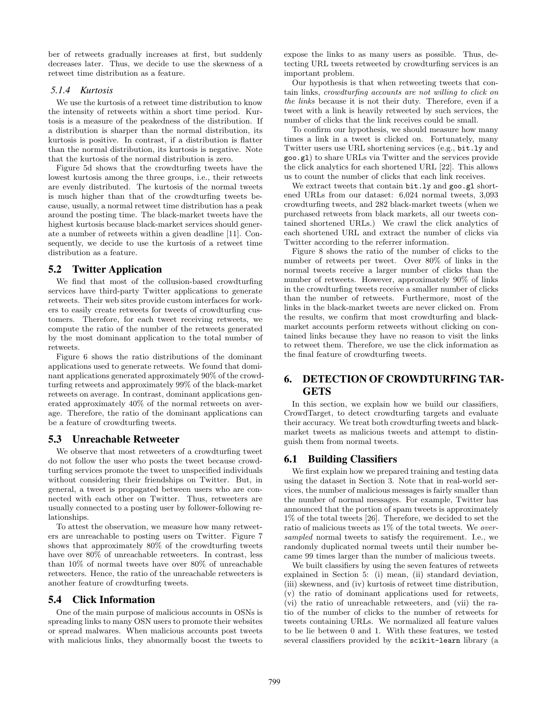ber of retweets gradually increases at first, but suddenly decreases later. Thus, we decide to use the skewness of a retweet time distribution as a feature.

#### *5.1.4 Kurtosis*

We use the kurtosis of a retweet time distribution to know the intensity of retweets within a short time period. Kurtosis is a measure of the peakedness of the distribution. If a distribution is sharper than the normal distribution, its kurtosis is positive. In contrast, if a distribution is flatter than the normal distribution, its kurtosis is negative. Note that the kurtosis of the normal distribution is zero.

Figure 5d shows that the crowdturfing tweets have the lowest kurtosis among the three groups, i.e., their retweets are evenly distributed. The kurtosis of the normal tweets is much higher than that of the crowdturfing tweets because, usually, a normal retweet time distribution has a peak around the posting time. The black-market tweets have the highest kurtosis because black-market services should generate a number of retweets within a given deadline [11]. Consequently, we decide to use the kurtosis of a retweet time distribution as a feature.

## 5.2 Twitter Application

We find that most of the collusion-based crowdturfing services have third-party Twitter applications to generate retweets. Their web sites provide custom interfaces for workers to easily create retweets for tweets of crowdturfing customers. Therefore, for each tweet receiving retweets, we compute the ratio of the number of the retweets generated by the most dominant application to the total number of retweets.

Figure 6 shows the ratio distributions of the dominant applications used to generate retweets. We found that dominant applications generated approximately 90% of the crowdturfing retweets and approximately 99% of the black-market retweets on average. In contrast, dominant applications generated approximately 40% of the normal retweets on average. Therefore, the ratio of the dominant applications can be a feature of crowdturfing tweets.

## 5.3 Unreachable Retweeter

We observe that most retweeters of a crowdturfing tweet do not follow the user who posts the tweet because crowdturfing services promote the tweet to unspecified individuals without considering their friendships on Twitter. But, in general, a tweet is propagated between users who are connected with each other on Twitter. Thus, retweeters are usually connected to a posting user by follower-following relationships.

To attest the observation, we measure how many retweeters are unreachable to posting users on Twitter. Figure 7 shows that approximately 80% of the crowdturfing tweets have over  $80\%$  of unreachable retweeters. In contrast, less than 10% of normal tweets have over 80% of unreachable retweeters. Hence, the ratio of the unreachable retweeters is another feature of crowdturfing tweets.

## 5.4 Click Information

One of the main purpose of malicious accounts in OSNs is spreading links to many OSN users to promote their websites or spread malwares. When malicious accounts post tweets with malicious links, they abnormally boost the tweets to

expose the links to as many users as possible. Thus, detecting URL tweets retweeted by crowdturfing services is an important problem.

Our hypothesis is that when retweeting tweets that contain links, crowdturfing accounts are not willing to click on the links because it is not their duty. Therefore, even if a tweet with a link is heavily retweeted by such services, the number of clicks that the link receives could be small.

To confirm our hypothesis, we should measure how many times a link in a tweet is clicked on. Fortunately, many Twitter users use URL shortening services (e.g., bit.ly and goo.gl) to share URLs via Twitter and the services provide the click analytics for each shortened URL [22]. This allows us to count the number of clicks that each link receives.

We extract tweets that contain bit.ly and goo.gl shortened URLs from our dataset: 6,024 normal tweets, 3,093 crowdturfing tweets, and 282 black-market tweets (when we purchased retweets from black markets, all our tweets contained shortened URLs.) We crawl the click analytics of each shortened URL and extract the number of clicks via Twitter according to the referrer information.

Figure 8 shows the ratio of the number of clicks to the number of retweets per tweet. Over 80% of links in the normal tweets receive a larger number of clicks than the number of retweets. However, approximately 90% of links in the crowdturfing tweets receive a smaller number of clicks than the number of retweets. Furthermore, most of the links in the black-market tweets are never clicked on. From the results, we confirm that most crowdturfing and blackmarket accounts perform retweets without clicking on contained links because they have no reason to visit the links to retweet them. Therefore, we use the click information as the final feature of crowdturfing tweets.

# 6. DETECTION OF CROWDTURFING TAR-**GETS**

In this section, we explain how we build our classifiers, CrowdTarget, to detect crowdturfing targets and evaluate their accuracy. We treat both crowdturfing tweets and blackmarket tweets as malicious tweets and attempt to distinguish them from normal tweets.

## 6.1 Building Classifiers

We first explain how we prepared training and testing data using the dataset in Section 3. Note that in real-world services, the number of malicious messages is fairly smaller than the number of normal messages. For example, Twitter has announced that the portion of spam tweets is approximately 1% of the total tweets [26]. Therefore, we decided to set the ratio of malicious tweets as 1% of the total tweets. We oversampled normal tweets to satisfy the requirement. I.e., we randomly duplicated normal tweets until their number became 99 times larger than the number of malicious tweets.

We built classifiers by using the seven features of retweets explained in Section 5: (i) mean, (ii) standard deviation, (iii) skewness, and (iv) kurtosis of retweet time distribution, (v) the ratio of dominant applications used for retweets, (vi) the ratio of unreachable retweeters, and (vii) the ratio of the number of clicks to the number of retweets for tweets containing URLs. We normalized all feature values to be lie between 0 and 1. With these features, we tested several classifiers provided by the scikit-learn library (a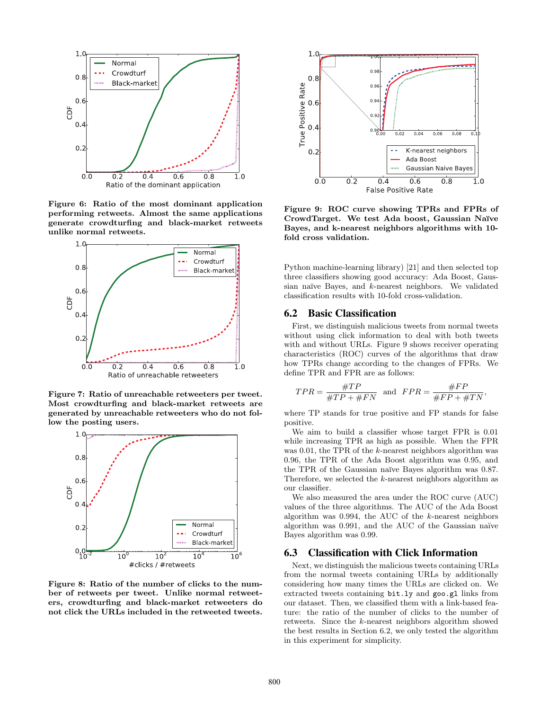

Figure 6: Ratio of the most dominant application performing retweets. Almost the same applications generate crowdturfing and black-market retweets unlike normal retweets.



Figure 7: Ratio of unreachable retweeters per tweet. Most crowdturfing and black-market retweets are generated by unreachable retweeters who do not follow the posting users.



Figure 8: Ratio of the number of clicks to the number of retweets per tweet. Unlike normal retweeters, crowdturfing and black-market retweeters do not click the URLs included in the retweeted tweets.



Figure 9: ROC curve showing TPRs and FPRs of CrowdTarget. We test Ada boost, Gaussian Naïve Bayes, and k-nearest neighbors algorithms with 10 fold cross validation.

Python machine-learning library) [21] and then selected top three classifiers showing good accuracy: Ada Boost, Gaussian naïve Bayes, and  $k$ -nearest neighbors. We validated classification results with 10-fold cross-validation.

#### 6.2 Basic Classification

First, we distinguish malicious tweets from normal tweets without using click information to deal with both tweets with and without URLs. Figure 9 shows receiver operating characteristics (ROC) curves of the algorithms that draw how TPRs change according to the changes of FPRs. We define TPR and FPR are as follows:

$$
TPR = \frac{\#TP}{\#TP + \#FN}
$$
 and 
$$
FPR = \frac{\#FP}{\#FP + \#TN},
$$

where TP stands for true positive and FP stands for false positive.

We aim to build a classifier whose target FPR is 0.01 while increasing TPR as high as possible. When the FPR was 0.01, the TPR of the k-nearest neighbors algorithm was 0.96, the TPR of the Ada Boost algorithm was 0.95, and the TPR of the Gaussian naïve Bayes algorithm was 0.87. Therefore, we selected the k-nearest neighbors algorithm as our classifier.

We also measured the area under the ROC curve (AUC) values of the three algorithms. The AUC of the Ada Boost algorithm was 0.994, the AUC of the k-nearest neighbors algorithm was 0.991, and the AUC of the Gaussian naïve Bayes algorithm was 0.99.

#### 6.3 Classification with Click Information

Next, we distinguish the malicious tweets containing URLs from the normal tweets containing URLs by additionally considering how many times the URLs are clicked on. We extracted tweets containing bit.ly and goo.gl links from our dataset. Then, we classified them with a link-based feature: the ratio of the number of clicks to the number of retweets. Since the k-nearest neighbors algorithm showed the best results in Section 6.2, we only tested the algorithm in this experiment for simplicity.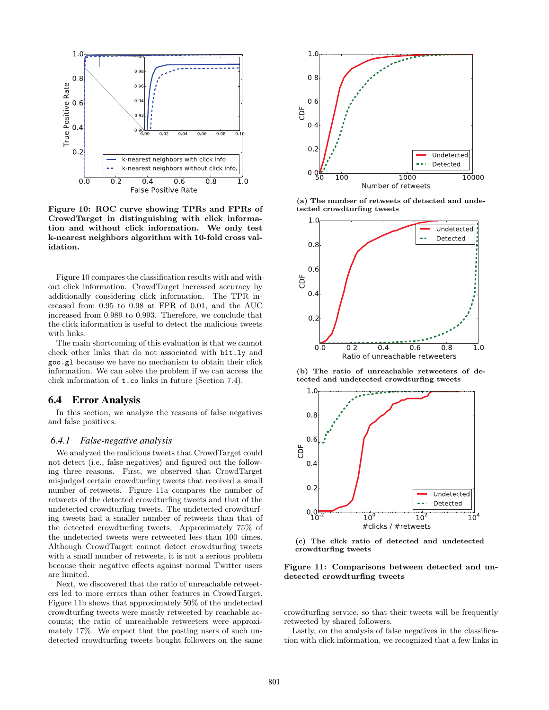

Figure 10: ROC curve showing TPRs and FPRs of CrowdTarget in distinguishing with click information and without click information. We only test k-nearest neighbors algorithm with 10-fold cross validation.

Figure 10 compares the classification results with and without click information. CrowdTarget increased accuracy by additionally considering click information. The TPR increased from 0.95 to 0.98 at FPR of 0.01, and the AUC increased from 0.989 to 0.993. Therefore, we conclude that the click information is useful to detect the malicious tweets with links.

The main shortcoming of this evaluation is that we cannot check other links that do not associated with bit.ly and goo.gl because we have no mechanism to obtain their click information. We can solve the problem if we can access the click information of t.co links in future (Section 7.4).

#### 6.4 Error Analysis

In this section, we analyze the reasons of false negatives and false positives.

#### *6.4.1 False-negative analysis*

We analyzed the malicious tweets that CrowdTarget could not detect (i.e., false negatives) and figured out the following three reasons. First, we observed that CrowdTarget misjudged certain crowdturfing tweets that received a small number of retweets. Figure 11a compares the number of retweets of the detected crowdturfing tweets and that of the undetected crowdturfing tweets. The undetected crowdturfing tweets had a smaller number of retweets than that of the detected crowdturfing tweets. Approximately 75% of the undetected tweets were retweeted less than 100 times. Although CrowdTarget cannot detect crowdturfing tweets with a small number of retweets, it is not a serious problem because their negative effects against normal Twitter users are limited.

Next, we discovered that the ratio of unreachable retweeters led to more errors than other features in CrowdTarget. Figure 11b shows that approximately 50% of the undetected crowdturfing tweets were mostly retweeted by reachable accounts; the ratio of unreachable retweeters were approximately 17%. We expect that the posting users of such undetected crowdturfing tweets bought followers on the same



(a) The number of retweets of detected and undetected crowdturfing tweets



(b) The ratio of unreachable retweeters of detected and undetected crowdturfing tweets



(c) The click ratio of detected and undetected crowdturfing tweets

#### Figure 11: Comparisons between detected and undetected crowdturfing tweets

crowdturfing service, so that their tweets will be frequently retweeted by shared followers.

Lastly, on the analysis of false negatives in the classification with click information, we recognized that a few links in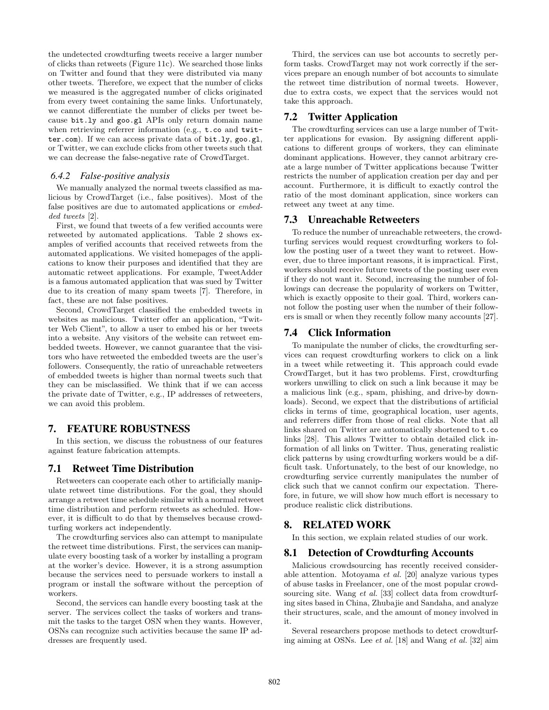the undetected crowdturfing tweets receive a larger number of clicks than retweets (Figure 11c). We searched those links on Twitter and found that they were distributed via many other tweets. Therefore, we expect that the number of clicks we measured is the aggregated number of clicks originated from every tweet containing the same links. Unfortunately, we cannot differentiate the number of clicks per tweet because bit.ly and goo.gl APIs only return domain name when retrieving referrer information (e.g., t.co and twitter.com). If we can access private data of bit.ly, goo.gl, or Twitter, we can exclude clicks from other tweets such that we can decrease the false-negative rate of CrowdTarget.

#### *6.4.2 False-positive analysis*

We manually analyzed the normal tweets classified as malicious by CrowdTarget (i.e., false positives). Most of the false positives are due to automated applications or embedded tweets [2].

First, we found that tweets of a few verified accounts were retweeted by automated applications. Table 2 shows examples of verified accounts that received retweets from the automated applications. We visited homepages of the applications to know their purposes and identified that they are automatic retweet applications. For example, TweetAdder is a famous automated application that was sued by Twitter due to its creation of many spam tweets [7]. Therefore, in fact, these are not false positives.

Second, CrowdTarget classified the embedded tweets in websites as malicious. Twitter offer an application, "Twitter Web Client", to allow a user to embed his or her tweets into a website. Any visitors of the website can retweet embedded tweets. However, we cannot guarantee that the visitors who have retweeted the embedded tweets are the user's followers. Consequently, the ratio of unreachable retweeters of embedded tweets is higher than normal tweets such that they can be misclassified. We think that if we can access the private date of Twitter, e.g., IP addresses of retweeters, we can avoid this problem.

# 7. FEATURE ROBUSTNESS

In this section, we discuss the robustness of our features against feature fabrication attempts.

## 7.1 Retweet Time Distribution

Retweeters can cooperate each other to artificially manipulate retweet time distributions. For the goal, they should arrange a retweet time schedule similar with a normal retweet time distribution and perform retweets as scheduled. However, it is difficult to do that by themselves because crowdturfing workers act independently.

The crowdturfing services also can attempt to manipulate the retweet time distributions. First, the services can manipulate every boosting task of a worker by installing a program at the worker's device. However, it is a strong assumption because the services need to persuade workers to install a program or install the software without the perception of workers.

Second, the services can handle every boosting task at the server. The services collect the tasks of workers and transmit the tasks to the target OSN when they wants. However, OSNs can recognize such activities because the same IP addresses are frequently used.

Third, the services can use bot accounts to secretly perform tasks. CrowdTarget may not work correctly if the services prepare an enough number of bot accounts to simulate the retweet time distribution of normal tweets. However, due to extra costs, we expect that the services would not take this approach.

## 7.2 Twitter Application

The crowdturfing services can use a large number of Twitter applications for evasion. By assigning different applications to different groups of workers, they can eliminate dominant applications. However, they cannot arbitrary create a large number of Twitter applications because Twitter restricts the number of application creation per day and per account. Furthermore, it is difficult to exactly control the ratio of the most dominant application, since workers can retweet any tweet at any time.

#### 7.3 Unreachable Retweeters

To reduce the number of unreachable retweeters, the crowdturfing services would request crowdturfing workers to follow the posting user of a tweet they want to retweet. However, due to three important reasons, it is impractical. First, workers should receive future tweets of the posting user even if they do not want it. Second, increasing the number of followings can decrease the popularity of workers on Twitter, which is exactly opposite to their goal. Third, workers cannot follow the posting user when the number of their followers is small or when they recently follow many accounts [27].

## 7.4 Click Information

To manipulate the number of clicks, the crowdturfing services can request crowdturfing workers to click on a link in a tweet while retweeting it. This approach could evade CrowdTarget, but it has two problems. First, crowdturfing workers unwilling to click on such a link because it may be a malicious link (e.g., spam, phishing, and drive-by downloads). Second, we expect that the distributions of artificial clicks in terms of time, geographical location, user agents, and referrers differ from those of real clicks. Note that all links shared on Twitter are automatically shortened to t.co links [28]. This allows Twitter to obtain detailed click information of all links on Twitter. Thus, generating realistic click patterns by using crowdturfing workers would be a difficult task. Unfortunately, to the best of our knowledge, no crowdturfing service currently manipulates the number of click such that we cannot confirm our expectation. Therefore, in future, we will show how much effort is necessary to produce realistic click distributions.

## 8. RELATED WORK

In this section, we explain related studies of our work.

#### 8.1 Detection of Crowdturfing Accounts

Malicious crowdsourcing has recently received considerable attention. Motoyama et al. [20] analyze various types of abuse tasks in Freelancer, one of the most popular crowdsourcing site. Wang *et al.* [33] collect data from crowdturfing sites based in China, Zhubajie and Sandaha, and analyze their structures, scale, and the amount of money involved in it.

Several researchers propose methods to detect crowdturfing aiming at OSNs. Lee et al. [18] and Wang et al. [32] aim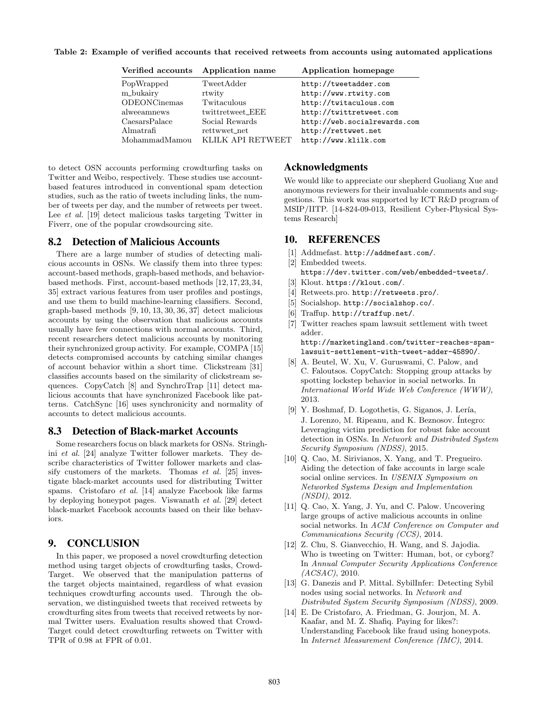| Verified accounts   | <b>Application name</b> | <b>Application homepage</b>  |
|---------------------|-------------------------|------------------------------|
| PopWrapped          | TweetAdder              | http://tweetadder.com        |
| m_bukairy           | rtwity                  | http://www.rtwity.com        |
| <b>ODEONCinemas</b> | Twitaculous             | http://twitaculous.com       |
| alweeamnews         | twittretweet_EEE        | http://twittretweet.com      |
| CaesarsPalace       | Social Rewards          | http://web.socialrewards.com |
| Almatrafi           | rettwwet_net            | http://rettwwet.net          |
| MohammadMamou       | KLILK API RETWEET       | http://www.klilk.com         |

Table 2: Example of verified accounts that received retweets from accounts using automated applications

to detect OSN accounts performing crowdturfing tasks on Twitter and Weibo, respectively. These studies use accountbased features introduced in conventional spam detection studies, such as the ratio of tweets including links, the number of tweets per day, and the number of retweets per tweet. Lee *et al.* [19] detect malicious tasks targeting Twitter in Fiverr, one of the popular crowdsourcing site.

#### 8.2 Detection of Malicious Accounts

There are a large number of studies of detecting malicious accounts in OSNs. We classify them into three types: account-based methods, graph-based methods, and behaviorbased methods. First, account-based methods [12,17,23,34, 35] extract various features from user profiles and postings, and use them to build machine-learning classifiers. Second, graph-based methods [9, 10, 13, 30, 36, 37] detect malicious accounts by using the observation that malicious accounts usually have few connections with normal accounts. Third, recent researchers detect malicious accounts by monitoring their synchronized group activity. For example, COMPA [15] detects compromised accounts by catching similar changes of account behavior within a short time. Clickstream [31] classifies accounts based on the similarity of clickstream sequences. CopyCatch [8] and SynchroTrap [11] detect malicious accounts that have synchronized Facebook like patterns. CatchSync [16] uses synchronicity and normality of accounts to detect malicious accounts.

#### 8.3 Detection of Black-market Accounts

Some researchers focus on black markets for OSNs. Stringhini et al. [24] analyze Twitter follower markets. They describe characteristics of Twitter follower markets and classify customers of the markets. Thomas et al. [25] investigate black-market accounts used for distributing Twitter spams. Cristofaro et al. [14] analyze Facebook like farms by deploying honeypot pages. Viswanath et al. [29] detect black-market Facebook accounts based on their like behaviors.

### 9. CONCLUSION

In this paper, we proposed a novel crowdturfing detection method using target objects of crowdturfing tasks, Crowd-Target. We observed that the manipulation patterns of the target objects maintained, regardless of what evasion techniques crowdturfing accounts used. Through the observation, we distinguished tweets that received retweets by crowdturfing sites from tweets that received retweets by normal Twitter users. Evaluation results showed that Crowd-Target could detect crowdturfing retweets on Twitter with TPR of 0.98 at FPR of 0.01.

## Acknowledgments

We would like to appreciate our shepherd Guoliang Xue and anonymous reviewers for their invaluable comments and suggestions. This work was supported by ICT R&D program of MSIP/IITP. [14-824-09-013, Resilient Cyber-Physical Systems Research]

## 10. REFERENCES

- [1] Addmefast. http://addmefast.com/.
- [2] Embedded tweets. https://dev.twitter.com/web/embedded-tweets/.
- [3] Klout. https://klout.com/.
- [4] Retweets.pro. http://retweets.pro/.
- [5] Socialshop. http://socialshop.co/.
- [6] Traffup. http://traffup.net/.
- [7] Twitter reaches spam lawsuit settlement with tweet adder.

http://marketingland.com/twitter-reaches-spamlawsuit-settlement-with-tweet-adder-45890/.

- [8] A. Beutel, W. Xu, V. Guruswami, C. Palow, and C. Faloutsos. CopyCatch: Stopping group attacks by spotting lockstep behavior in social networks. In International World Wide Web Conference (WWW), 2013.
- [9] Y. Boshmaf, D. Logothetis, G. Siganos, J. Lería, J. Lorenzo, M. Ripeanu, and K. Beznosov. Íntegro: Leveraging victim prediction for robust fake account detection in OSNs. In Network and Distributed System Security Symposium (NDSS), 2015.
- [10] Q. Cao, M. Sirivianos, X. Yang, and T. Pregueiro. Aiding the detection of fake accounts in large scale social online services. In USENIX Symposium on Networked Systems Design and Implementation (NSDI), 2012.
- [11] Q. Cao, X. Yang, J. Yu, and C. Palow. Uncovering large groups of active malicious accounts in online social networks. In ACM Conference on Computer and Communications Security (CCS), 2014.
- [12] Z. Chu, S. Gianvecchio, H. Wang, and S. Jajodia. Who is tweeting on Twitter: Human, bot, or cyborg? In Annual Computer Security Applications Conference  $(ACSAC)$ , 2010.
- [13] G. Danezis and P. Mittal. SybilInfer: Detecting Sybil nodes using social networks. In Network and Distributed System Security Symposium (NDSS), 2009.
- [14] E. De Cristofaro, A. Friedman, G. Jourjon, M. A. Kaafar, and M. Z. Shafiq. Paying for likes?: Understanding Facebook like fraud using honeypots. In Internet Measurement Conference (IMC), 2014.